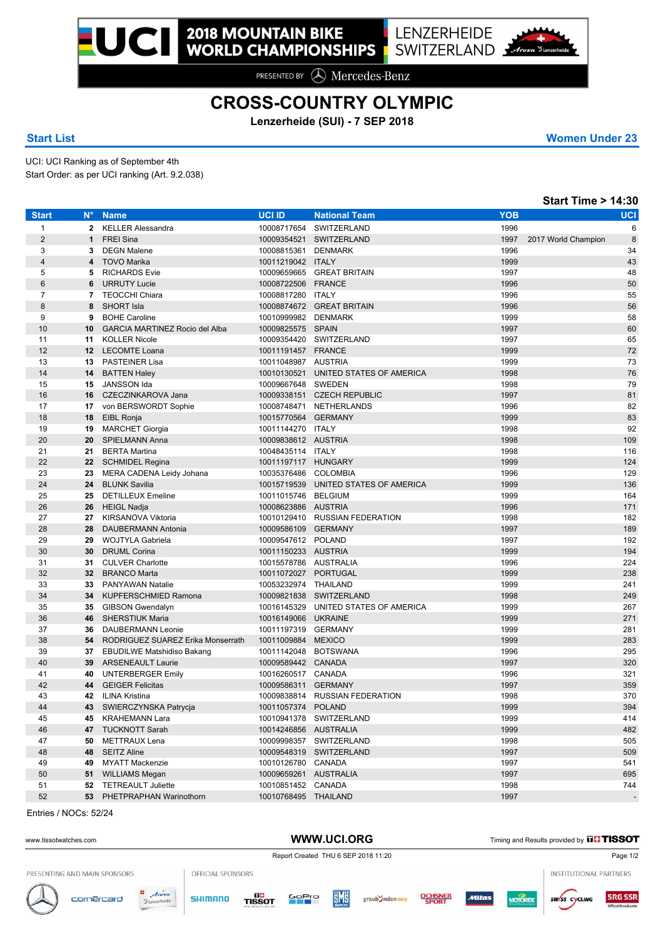PRESENTED BY **A** Mercedes-Benz

## **CROSS-COUNTRY OLYMPIC**

**Lenzerheide (SUI) - 7 SEP 2018**

**Start List Women Under 23**

UCI: UCI Ranking as of September 4th Start Order: as per UCI ranking (Art. 9.2.038)

|                |                 |                                       |                       |                                      |            | <b>Start Time &gt; 14:30</b> |
|----------------|-----------------|---------------------------------------|-----------------------|--------------------------------------|------------|------------------------------|
| <b>Start</b>   | $N^{\circ}$     | <b>Name</b>                           | <b>UCI ID</b>         | <b>National Team</b>                 | <b>YOB</b> | <b>UCI</b>                   |
| $\mathbf{1}$   | $\mathbf{2}$    | <b>KELLER Alessandra</b>              | 10008717654           | SWITZERLAND                          | 1996       | 6                            |
| $\overline{2}$ | $\mathbf{1}$    | <b>FREI Sina</b>                      |                       | 10009354521 SWITZERLAND              | 1997       | 8<br>2017 World Champion     |
| 3              | 3               | <b>DEGN Malene</b>                    | 10008815361 DENMARK   |                                      | 1996       | 34                           |
| $\overline{4}$ | 4               | <b>TOVO Marika</b>                    | 10011219042 ITALY     |                                      | 1999       | 43                           |
| 5              | 5               | <b>RICHARDS Evie</b>                  |                       | 10009659665 GREAT BRITAIN            | 1997       | 48                           |
| $6\phantom{1}$ | 6               | <b>URRUTY Lucie</b>                   | 10008722506 FRANCE    |                                      | 1996       | 50                           |
| $\overline{7}$ | 7               | <b>TEOCCHI Chiara</b>                 | 10008817280 ITALY     |                                      | 1996       | 55                           |
| 8              | 8               | <b>SHORT Isla</b>                     |                       | 10008874672 GREAT BRITAIN            | 1996       | 56                           |
| 9              | 9               | <b>BOHE Caroline</b>                  | 10010999982 DENMARK   |                                      | 1999       | 58                           |
| 10             | 10              | <b>GARCIA MARTINEZ Rocio del Alba</b> | 10009825575 SPAIN     |                                      | 1997       | 60                           |
| 11             | 11              | <b>KOLLER Nicole</b>                  |                       | 10009354420 SWITZERLAND              | 1997       | 65                           |
| 12             | 12              | <b>LECOMTE Loana</b>                  | 10011191457 FRANCE    |                                      | 1999       | 72                           |
| 13             |                 | 13 PASTEINER Lisa                     | 10011048987 AUSTRIA   |                                      | 1999       | 73                           |
| 14             | 14              | <b>BATTEN Haley</b>                   |                       | 10010130521 UNITED STATES OF AMERICA | 1998       | 76                           |
| 15             | 15              | JANSSON Ida                           | 10009667648 SWEDEN    |                                      | 1998       | 79                           |
| 16             | 16              | CZECZINKAROVA Jana                    |                       | 10009338151 CZECH REPUBLIC           | 1997       | 81                           |
| 17             | 17              | von BERSWORDT Sophie                  |                       | 10008748471 NETHERLANDS              | 1996       | 82                           |
| 18             | 18              | EIBL Ronja                            | 10015770564 GERMANY   |                                      | 1999       | 83                           |
| 19             | 19              | <b>MARCHET Giorgia</b>                | 10011144270 ITALY     |                                      | 1998       | 92                           |
| 20             | 20              | SPIELMANN Anna                        | 10009838612 AUSTRIA   |                                      | 1998       | 109                          |
| 21             | 21              | <b>BERTA Martina</b>                  | 10048435114 ITALY     |                                      | 1998       | 116                          |
| 22             | 22              | SCHMIDEL Regina                       | 10011197117 HUNGARY   |                                      | 1999       | 124                          |
| 23             | 23              | MERA CADENA Leidy Johana              | 10035376486 COLOMBIA  |                                      | 1996       | 129                          |
| 24             | 24              | <b>BLUNK Savilia</b>                  |                       | 10015719539 UNITED STATES OF AMERICA | 1999       | 136                          |
| 25             | 25              | <b>DETILLEUX Emeline</b>              | 10011015746 BELGIUM   |                                      | 1999       | 164                          |
| 26             | 26              | HEIGL Nadja                           | 10008623886 AUSTRIA   |                                      | 1996       | 171                          |
| 27             | 27              | KIRSANOVA Viktoria                    |                       | 10010129410 RUSSIAN FEDERATION       | 1998       | 182                          |
| 28             | 28              | DAUBERMANN Antonia                    | 10009586109 GERMANY   |                                      | 1997       | 189                          |
| 29             | 29              | WOJTYLA Gabriela                      | 10009547612 POLAND    |                                      | 1997       | 192                          |
| 30             | 30              | <b>DRUML Corina</b>                   | 10011150233 AUSTRIA   |                                      | 1999       | 194                          |
| 31             | 31              | <b>CULVER Charlotte</b>               | 10015578786 AUSTRALIA |                                      | 1996       | 224                          |
| 32             | 32 <sub>2</sub> | <b>BRANCO Marta</b>                   | 10011072027 PORTUGAL  |                                      | 1999       | 238                          |
| 33             | 33              | <b>PANYAWAN Natalie</b>               | 10053232974 THAILAND  |                                      | 1999       | 241                          |
| 34             | 34              | <b>KUPFERSCHMIED Ramona</b>           |                       | 10009821838 SWITZERLAND              | 1998       | 249                          |
| 35             | 35              | <b>GIBSON Gwendalyn</b>               |                       | 10016145329 UNITED STATES OF AMERICA | 1999       | 267                          |
| 36             | 46              | <b>SHERSTIUK Maria</b>                | 10016149066 UKRAINE   |                                      | 1999       | 271                          |
| 37             | 36              | DAUBERMANN Leonie                     | 10011197319 GERMANY   |                                      | 1999       | 281                          |
| 38             | 54              | RODRIGUEZ SUAREZ Erika Monserrath     | 10011009884 MEXICO    |                                      | 1999       | 283                          |
| 39             | 37              | <b>EBUDILWE Matshidiso Bakang</b>     | 10011142048 BOTSWANA  |                                      | 1996       | 295                          |
| 40             | 39              | <b>ARSENEAULT Laurie</b>              | 10009589442 CANADA    |                                      | 1997       | 320                          |
| 41             | 40              | <b>UNTERBERGER Emily</b>              | 10016260517 CANADA    |                                      | 1996       | 321                          |
| 42             | 44              | <b>GEIGER Felicitas</b>               | 10009586311 GERMANY   |                                      | 1997       | 359                          |
| 43             | 42              | ILINA Kristina                        |                       | 10009838814 RUSSIAN FEDERATION       | 1998       | 370                          |
| 44             |                 | 43 SWIERCZYNSKA Patrycja              | 10011057374 POLAND    |                                      | 1999       | 394                          |
| 45             |                 | 45 KRAHEMANN Lara                     |                       | 10010941378 SWITZERLAND              | 1999       | 414                          |
| 46             |                 | 47 TUCKNOTT Sarah                     | 10014246856 AUSTRALIA |                                      | 1999       | 482                          |
| 47             |                 | 50 METTRAUX Lena                      |                       | 10009998357 SWITZERLAND              | 1998       | 505                          |
| 48             |                 | 48 SEITZ Aline                        |                       | 10009548319 SWITZERLAND              | 1997       | 509                          |
| 49             |                 | 49 MYATT Mackenzie                    | 10010126780 CANADA    |                                      | 1997       | 541                          |
| 50             |                 | 51 WILLIAMS Megan                     | 10009659261 AUSTRALIA |                                      | 1997       | 695                          |
| 51             |                 | 52 TETREAULT Juliette                 | 10010851452 CANADA    |                                      | 1998       | 744                          |
| 52             |                 | 53 PHETPRAPHAN Warinothorn            | 10010768495 THAILAND  |                                      | 1997       |                              |

Entries / NOCs: 52/24

## WWW.UCI.ORG Timing and Results provided by **THISSOT**

Report Created THU 6 SEP 2018 11:20 PRESENTING AND MAIN SPONSORS OFFICIAL SPONSORS INSTITUTIONAL PARTNERS  $\overline{a}$ Arosa **EME** TISSOT graub Snden BIKE **SRG SSR SHIMANO** GoPro Viltas cornercard **MOTOREX** sw/ss cycling  $\mathcal{N}_j$